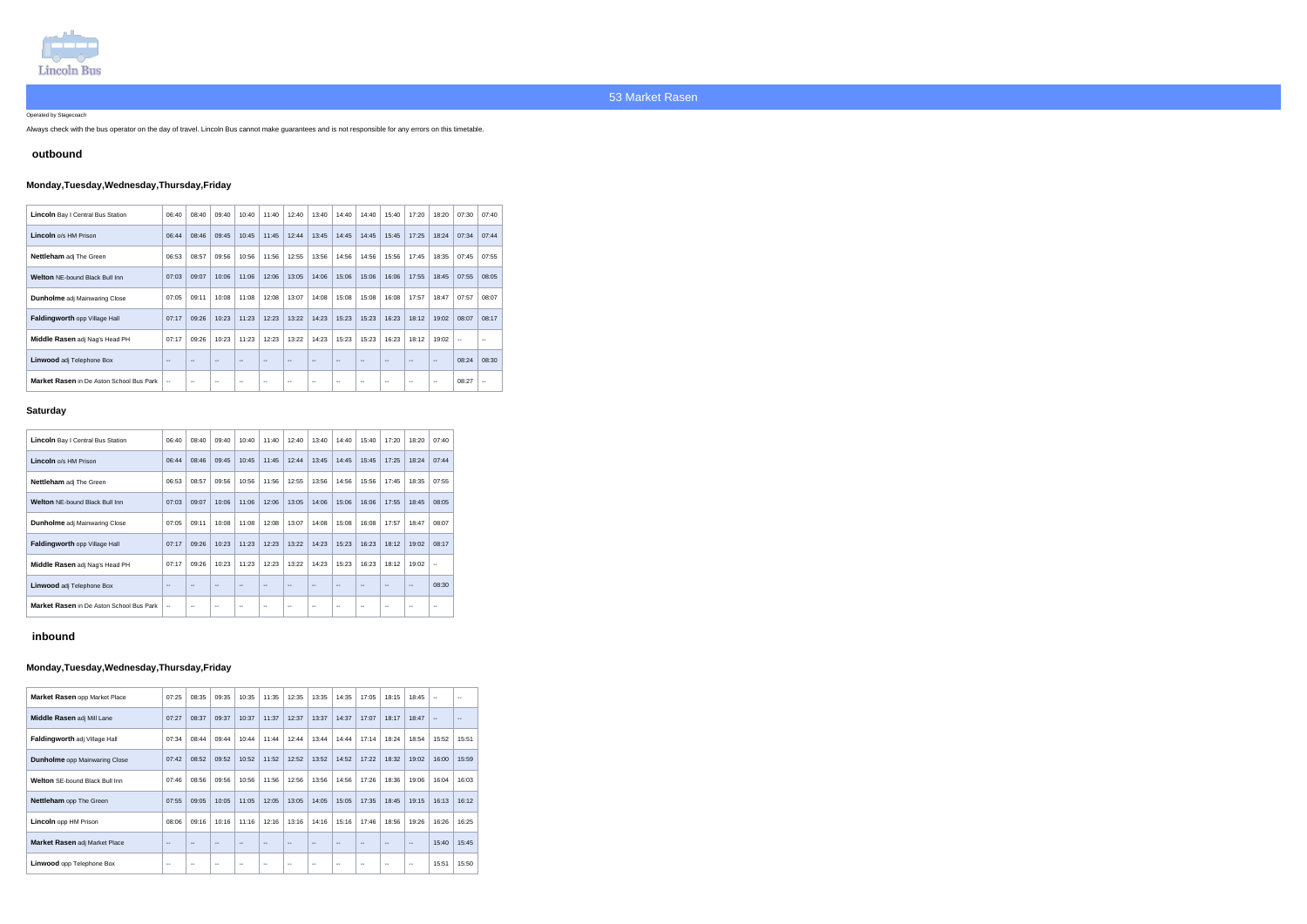

Operated by Stagecoach

Always check with the bus operator on the day of travel. Lincoln Bus cannot make guarantees and is not responsible for any errors on this timetable.

### **outbound**

# **Monday,Tuesday,Wednesday,Thursday,Friday**

| <b>Lincoln</b> Bay I Central Bus Station        | 06:40         | 08:40                    | 09:40                    | 10:40                    | 11:40 | 12:40 | 13:40 | 14:40 | 14:40                    | 15:40         | 17:20                    | 18:20 | 07:30        | 07:40                    |
|-------------------------------------------------|---------------|--------------------------|--------------------------|--------------------------|-------|-------|-------|-------|--------------------------|---------------|--------------------------|-------|--------------|--------------------------|
| Lincoln o/s HM Prison                           | 06:44         | 08:46                    | 09:45                    | 10:45                    | 11:45 | 12:44 | 13:45 | 14:45 | 14:45                    | 15:45         | 17:25                    | 18:24 | 07:34        | 07:44                    |
| <b>Nettleham</b> adj The Green                  | 06:53         | 08:57                    | 09:56                    | 10:56                    | 11:56 | 12:55 | 13:56 | 14:56 | 14:56                    | 15:56         | 17:45                    | 18:35 | 07:45        | 07:55                    |
| <b>Welton NE-bound Black Bull Inn</b>           | 07:03         | 09:07                    | 10:06                    | 11:06                    | 12:06 | 13:05 | 14:06 | 15:06 | 15:06                    | 16:06         | 17:55                    | 18:45 | 07:55        | 08:05                    |
| <b>Dunholme</b> adj Mainwaring Close            | 07:05         | 09:11                    | 10:08                    | 11:08                    | 12:08 | 13:07 | 14:08 | 15:08 | 15:08                    | 16:08         | 17:57                    | 18:47 | 07:57        | 08:07                    |
| Faldingworth opp Village Hall                   | 07:17         | 09:26                    | 10:23                    | 11:23                    | 12:23 | 13:22 | 14:23 | 15:23 | 15:23                    | 16:23         | 18:12                    | 19:02 | 08:07        | 08:17                    |
| Middle Rasen adj Nag's Head PH                  | 07:17         | 09:26                    | 10:23                    | 11:23                    | 12:23 | 13:22 | 14:23 | 15:23 | 15:23                    | 16:23         | 18:12                    | 19:02 | $\mathbf{u}$ | $\sim$ $\sim$            |
| Linwood adj Telephone Box                       | $\sim$ $\sim$ | $-$                      | $\overline{\phantom{m}}$ | $\overline{\phantom{m}}$ | $-$   | $-$   | ٠.    | $-$   | $\overline{\phantom{m}}$ | $\sim$ $\sim$ | $\overline{\phantom{m}}$ | $-$   | 08:24        | 08:30                    |
| <b>Market Rasen</b> in De Aston School Bus Park | $\mathbf{u}$  | $\overline{\phantom{a}}$ | $\sim$ $\sim$            | $\sim$ $\sim$            | $- -$ | --    | --    | --    | $\overline{\phantom{a}}$ | $\sim$ $\sim$ | $\sim$ $\sim$            | --    | 08:27        | $\overline{\phantom{a}}$ |

### **Saturday**

| <b>Lincoln</b> Bay I Central Bus Station        | 06:40                    | 08:40 | 09:40 | 10:40                    | 11:40                    | 12:40                    | 13:40                    | 14:40                    | 15:40                    | 17:20             | 18:20                    | 07:40                    |
|-------------------------------------------------|--------------------------|-------|-------|--------------------------|--------------------------|--------------------------|--------------------------|--------------------------|--------------------------|-------------------|--------------------------|--------------------------|
| Lincoln o/s HM Prison                           | 06:44                    | 08:46 | 09:45 | 10:45                    | 11:45                    | 12:44                    | 13:45                    | 14:45                    | 15:45                    | 17:25             | 18:24                    | 07:44                    |
| <b>Nettleham</b> adj The Green                  | 06:53                    | 08:57 | 09:56 | 10:56                    | 11:56                    | 12:55                    | 13:56                    | 14:56                    | 15:56                    | 17:45             | 18:35                    | 07:55                    |
| <b>Welton NE-bound Black Bull Inn</b>           | 07:03                    | 09:07 | 10:06 | 11:06                    | 12:06                    | 13:05                    | 14:06                    | 15:06                    | 16:06                    | 17:55             | 18:45                    | 08:05                    |
| <b>Dunholme</b> adj Mainwaring Close            | 07:05                    | 09:11 | 10:08 | 11:08                    | 12:08                    | 13:07                    | 14:08                    | 15:08                    | 16:08                    | 17:57             | 18:47                    | 08:07                    |
| <b>Faldingworth opp Village Hall</b>            | 07:17                    | 09:26 | 10:23 | 11:23                    | 12:23                    | 13:22                    | 14:23                    | 15:23                    | 16:23                    | 18:12             | 19:02                    | 08:17                    |
| Middle Rasen adj Nag's Head PH                  | 07:17                    | 09:26 | 10:23 | 11:23                    | 12:23                    | 13:22                    | 14:23                    | 15:23                    | 16:23                    | 18:12             | 19:02                    | $-$                      |
| Linwood adj Telephone Box                       | $\overline{\phantom{m}}$ | $- -$ | $-$   | $\overline{\phantom{m}}$ | $\overline{\phantom{a}}$ | $\overline{\phantom{a}}$ | $-$                      | $\qquad \qquad -$        | $\overline{\phantom{m}}$ | $\qquad \qquad -$ | $\overline{\phantom{m}}$ | 08:30                    |
| <b>Market Rasen</b> in De Aston School Bus Park | --                       | --    | --    | $\overline{\phantom{m}}$ | $- -$                    | $\overline{\phantom{m}}$ | $\overline{\phantom{a}}$ | $\overline{\phantom{m}}$ | $\overline{\phantom{m}}$ | $\qquad \qquad -$ | $\overline{\phantom{m}}$ | $\overline{\phantom{a}}$ |

## **inbound**

## **Monday,Tuesday,Wednesday,Thursday,Friday**

| <b>Market Rasen opp Market Place</b>  | 07:25         | 08:35                    | 09:35                    | 10:35         | 11:35          | 12:35         | 13:35  | 14:35                    | 17:05         | 18:15                    | 18:45         | $\sim$ | $\overline{\phantom{a}}$ |
|---------------------------------------|---------------|--------------------------|--------------------------|---------------|----------------|---------------|--------|--------------------------|---------------|--------------------------|---------------|--------|--------------------------|
| Middle Rasen adj Mill Lane            | 07:27         | 08:37                    | 09:37                    | 10:37         | 11:37          | 12:37         | 13:37  | 14:37                    | 17:07         | 18:17                    | 18:47         | $\sim$ | $-$                      |
| Faldingworth adj Village Hall         | 07:34         | 08:44                    | 09:44                    | 10:44         | 11:44          | 12:44         | 13:44  | 14:44                    | 17:14         | 18:24                    | 18:54         | 15:52  | 15:51                    |
| <b>Dunholme</b> opp Mainwaring Close  | 07:42         | 08:52                    | 09:52                    | 10:52         | 11:52          | 12:52         | 13:52  | 14:52                    | 17:22         | 18:32                    | 19:02         | 16:00  | 15:59                    |
| <b>Welton SE-bound Black Bull Inn</b> | 07:46         | 08:56                    | 09:56                    | 10:56         | 11:56          | 12:56         | 13:56  | 14:56                    | 17:26         | 18:36                    | 19:06         | 16:04  | 16:03                    |
| Nettleham opp The Green               | 07:55         | 09:05                    | 10:05                    | 11:05         | 12:05          | 13:05         | 14:05  | 15:05                    | 17:35         | 18:45                    | 19:15         | 16:13  | 16:12                    |
| Lincoln opp HM Prison                 | 08:06         | 09:16                    | 10:16                    | 11:16         | 12:16          | 13:16         | 14:16  | 15:16                    | 17:46         | 18:56                    | 19:26         | 16:26  | 16:25                    |
| Market Rasen adj Market Place         | $-$           | $-$                      | $\sim$                   | $\sim$        | $\overline{a}$ | $\sim$ $\sim$ | $\sim$ | $\sim$                   | $\sim$        | $\overline{\phantom{a}}$ | $\sim$ $\sim$ | 15:40  | 15:45                    |
| Linwood opp Telephone Box             | $\sim$ $\sim$ | $\overline{\phantom{a}}$ | $\overline{\phantom{m}}$ | $\sim$ $\sim$ | $\sim$ $\sim$  | $\sim$ $\sim$ | --     | $\overline{\phantom{a}}$ | $\sim$ $\sim$ | $\sim$ $\sim$            | $\sim$ $\sim$ | 15:51  | 15:50                    |